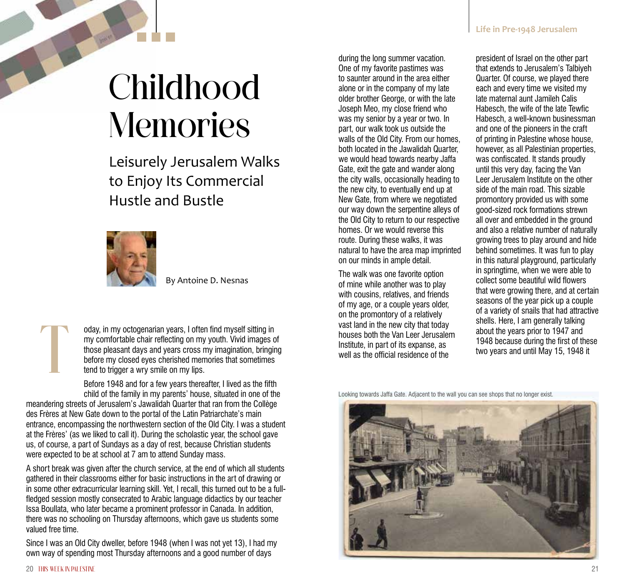## **Childhood Memories**

Leisurely Jerusalem Walks to Enjoy Its Commercial Hustle and Bustle



By Antoine D. Nesnas

oday, in my octogenarian years, I often find myself sitting in my comfortable chair reflecting on my youth. Vivid images of those pleasant days and years cross my imagination, bringing before my closed eyes cherished memories that sometimes tend to trigger a wry smile on my lips.

Before 1948 and for a few years thereafter, I lived as the fifth child of the family in my parents' house, situated in one of the

meandering streets of Jerusalem's Jawalidah Quarter that ran from the Collège des Frères at New Gate down to the portal of the Latin Patriarchate's main entrance, encompassing the northwestern section of the Old City. I was a student at the Frères' (as we liked to call it). During the scholastic year, the school gave us, of course, a part of Sundays as a day of rest, because Christian students were expected to be at school at 7 am to attend Sunday mass.

A short break was given after the church service, at the end of which all students gathered in their classrooms either for basic instructions in the art of drawing or in some other extracurricular learning skill. Yet, I recall, this turned out to be a fullfledged session mostly consecrated to Arabic language didactics by our teacher Issa Boullata, who later became a prominent professor in Canada. In addition, there was no schooling on Thursday afternoons, which gave us students some valued free time.

Since I was an Old City dweller, before 1948 (when I was not yet 13), I had my own way of spending most Thursday afternoons and a good number of days

T

during the long summer vacation. One of my favorite pastimes was to saunter around in the area either alone or in the company of my late older brother George, or with the late Joseph Meo, my close friend who was my senior by a year or two. In part, our walk took us outside the walls of the Old City. From our homes, both located in the Jawalidah Quarter, we would head towards nearby Jaffa Gate, exit the gate and wander along the city walls, occasionally heading to the new city, to eventually end up at New Gate, from where we negotiated our way down the serpentine alleys of the Old City to return to our respective homes. Or we would reverse this route. During these walks, it was natural to have the area map imprinted on our minds in ample detail.

The walk was one favorite option of mine while another was to play with cousins, relatives, and friends of my age, or a couple years older, on the promontory of a relatively vast land in the new city that today houses both the Van Leer Jerusalem Institute, in part of its expanse, as well as the official residence of the

president of Israel on the other part that extends to Jerusalem's Talbiyeh Quarter. Of course, we played there each and every time we visited my late maternal aunt Jamileh Calis Habesch, the wife of the late Tewfic Habesch, a well-known businessman and one of the pioneers in the craft of printing in Palestine whose house, however, as all Palestinian properties, was confiscated. It stands proudly until this very day, facing the Van Leer Jerusalem Institute on the other side of the main road. This sizable promontory provided us with some good-sized rock formations strewn all over and embedded in the ground and also a relative number of naturally growing trees to play around and hide behind sometimes. It was fun to play in this natural playground, particularly in springtime, when we were able to collect some beautiful wild flowers that were growing there, and at certain seasons of the year pick up a couple of a variety of snails that had attractive shells. Here, I am generally talking about the years prior to 1947 and 1948 because during the first of these two years and until May 15, 1948 it

Looking towards Jaffa Gate. Adjacent to the wall you can see shops that no longer exist.

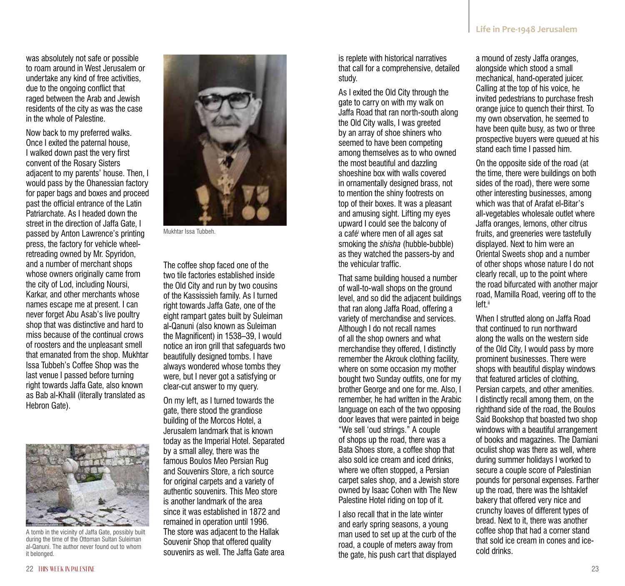was absolutely not safe or possible to roam around in West Jerusalem or undertake any kind of free activities, due to the ongoing conflict that raged between the Arab and Jewish residents of the city as was the case in the whole of Palestine.

Now back to my preferred walks. Once I exited the paternal house, I walked down past the very first convent of the Rosary Sisters adjacent to my parents' house. Then, I would pass by the Ohanessian factory for paper bags and boxes and proceed past the official entrance of the Latin Patriarchate. As I headed down the street in the direction of Jaffa Gate, I passed by Anton Lawrence's printing press, the factory for vehicle wheelretreading owned by Mr. Spyridon, and a number of merchant shops whose owners originally came from the city of Lod, including Noursi, Karkar, and other merchants whose names escape me at present. I can never forget Abu Asab's live poultry shop that was distinctive and hard to miss because of the continual crows of roosters and the unpleasant smell that emanated from the shop. Mukhtar Issa Tubbeh's Coffee Shop was the last venue I passed before turning right towards Jaffa Gate, also known as Bab al-Khalil (literally translated as Hebron Gate).



A tomb in the vicinity of Jaffa Gate, possibly built during the time of the Ottoman Sultan Suleiman al-Qanuni. The author never found out to whom it belonged.



Mukhtar Issa Tubbeh.

The coffee shop faced one of the two tile factories established inside the Old City and run by two cousins of the Kassissieh family. As I turned right towards Jaffa Gate, one of the eight rampart gates built by Suleiman al-Qanuni (also known as Suleiman the Magnificent) in 1538–39, I would notice an iron grill that safeguards two beautifully designed tombs. I have always wondered whose tombs they were, but I never got a satisfying or clear-cut answer to my query.

On my left, as I turned towards the gate, there stood the grandiose building of the Morcos Hotel, a Jerusalem landmark that is known today as the Imperial Hotel. Separated by a small alley, there was the famous Boulos Meo Persian Rug and Souvenirs Store, a rich source for original carpets and a variety of authentic souvenirs. This Meo store is another landmark of the area since it was established in 1872 and remained in operation until 1996. The store was adjacent to the Hallak Souvenir Shop that offered quality souvenirs as well. The Jaffa Gate area

is replete with historical narratives that call for a comprehensive, detailed study.

As I exited the Old City through the gate to carry on with my walk on Jaffa Road that ran north-south along the Old City walls, I was greeted by an array of shoe shiners who seemed to have been competing among themselves as to who owned the most beautiful and dazzling shoeshine box with walls covered in ornamentally designed brass, not to mention the shiny footrests on top of their boxes. It was a pleasant and amusing sight. Lifting my eyes upward I could see the balcony of a caféi where men of all ages sat smoking the *shisha* (hubble-bubble) as they watched the passers-by and the vehicular traffic.

That same building housed a number of wall-to-wall shops on the ground level, and so did the adjacent buildings that ran along Jaffa Road, offering a variety of merchandise and services. Although I do not recall names of all the shop owners and what merchandise they offered, I distinctly remember the Akrouk clothing facility, where on some occasion my mother bought two Sunday outfits, one for my brother George and one for me. Also, I remember, he had written in the Arabic language on each of the two opposing door leaves that were painted in beige "We sell 'oud strings." A couple of shops up the road, there was a Bata Shoes store, a coffee shop that also sold ice cream and iced drinks, where we often stopped, a Persian carpet sales shop, and a Jewish store owned by Isaac Cohen with The New Palestine Hotel riding on top of it.

I also recall that in the late winter and early spring seasons, a young man used to set up at the curb of the road, a couple of meters away from the gate, his push cart that displayed a mound of zesty Jaffa oranges, alongside which stood a small mechanical, hand-operated juicer. Calling at the top of his voice, he invited pedestrians to purchase fresh orange juice to quench their thirst. To my own observation, he seemed to have been quite busy, as two or three prospective buyers were queued at his stand each time I passed him.

On the opposite side of the road (at the time, there were buildings on both sides of the road), there were some other interesting businesses, among which was that of Arafat el-Bitar's all-vegetables wholesale outlet where Jaffa oranges, lemons, other citrus fruits, and greeneries were tastefully displayed. Next to him were an Oriental Sweets shop and a number of other shops whose nature I do not clearly recall, up to the point where the road bifurcated with another major road, Mamilla Road, veering off to the left<sup>ii</sup>

When I strutted along on Jaffa Road that continued to run northward along the walls on the western side of the Old City, I would pass by more prominent businesses. There were shops with beautiful display windows that featured articles of clothing, Persian carpets, and other amenities. I distinctly recall among them, on the righthand side of the road, the Boulos Said Bookshop that boasted two shop windows with a beautiful arrangement of books and magazines. The Damiani oculist shop was there as well, where during summer holidays I worked to secure a couple score of Palestinian pounds for personal expenses. Farther up the road, there was the Ishtaklef bakery that offered very nice and crunchy loaves of different types of bread. Next to it, there was another coffee shop that had a corner stand that sold ice cream in cones and icecold drinks.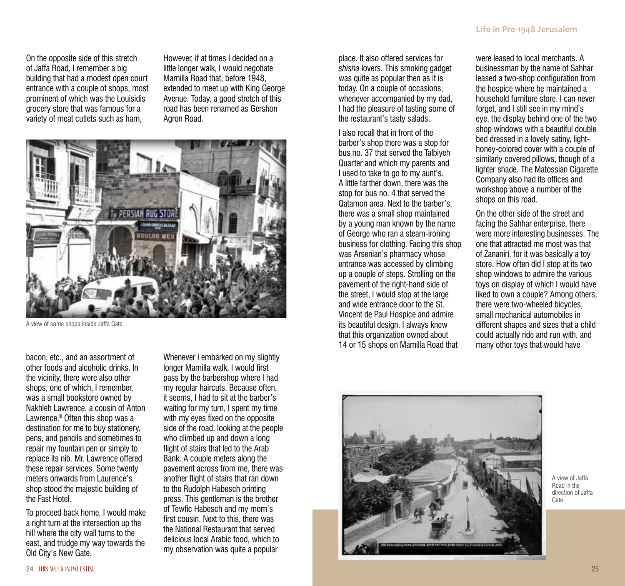On the opposite side of this stretch of Jaffa Road, I remember a big building that had a modest open court entrance with a couple of shops, most prominent of which was the Louisidis grocery store that was famous for a variety of meat cutlets such as ham,

However, if at times I decided on a little longer walk, I would negotiate Mamilla Road that, before 1948, extended to meet up with King George Avenue. Today, a good stretch of this road has been renamed as Gershon Agron Road.



A view of some shops inside Jaffa Gate.

bacon, etc., and an assortment of other foods and alcoholic drinks. In the vicinity, there were also other shops, one of which, I remember, was a small bookstore owned by Nakhleh Lawrence, a cousin of Anton Lawrence.<sup>iii</sup> Often this shop was a destination for me to buy stationery, pens, and pencils and sometimes to repair my fountain pen or simply to replace its nib. Mr. Lawrence offered these repair services. Some twenty meters onwards from Laurence's shop stood the majestic building of the Fast Hotel.

To proceed back home, I would make a right turn at the intersection up the hill where the city wall turns to the east, and trudge my way towards the Old City's New Gate.

Whenever I embarked on my slightly longer Mamilla walk, I would first pass by the barbershop where I had my regular haircuts. Because often, it seems, I had to sit at the barber's waiting for my turn, I spent my time with my eyes fixed on the opposite side of the road, looking at the people who climbed up and down a long flight of stairs that led to the Arab Bank. A couple meters along the pavement across from me, there was another flight of stairs that ran down to the Rudolph Habesch printing press. This gentleman is the brother of Tewfic Habesch and my mom's first cousin. Next to this, there was the National Restaurant that served delicious local Arabic food, which to my observation was quite a popular

place. It also offered services for *shisha* lovers. This smoking gadget was quite as popular then as it is today. On a couple of occasions, whenever accompanied by my dad, I had the pleasure of tasting some of the restaurant's tasty salads.

I also recall that in front of the barber's shop there was a stop for bus no. 37 that served the Talbiyeh Quarter and which my parents and I used to take to go to my aunt's. A little farther down, there was the stop for bus no. 4 that served the Qatamon area. Next to the barber's, there was a small shop maintained by a young man known by the name of George who ran a steam-ironing business for clothing. Facing this shop was Arsenian's pharmacy whose entrance was accessed by climbing up a couple of steps. Strolling on the pavement of the right-hand side of the street, I would stop at the large and wide entrance door to the St. Vincent de Paul Hospice and admire its beautiful design. I always knew that this organization owned about 14 or 15 shops on Mamilla Road that

were leased to local merchants. A businessman by the name of Sahhar leased a two-shop configuration from the hospice where he maintained a household furniture store. I can never forget, and I still see in my mind's eye, the display behind one of the two shop windows with a beautiful double bed dressed in a lovely satiny, lighthoney-colored cover with a couple of similarly covered pillows, though of a lighter shade. The Matossian Cigarette Company also had its offices and workshop above a number of the shops on this road.

On the other side of the street and facing the Sahhar enterprise, there were more interesting businesses. The one that attracted me most was that of Zananiri, for it was basically a toy store. How often did I stop at its two shop windows to admire the various toys on display of which I would have liked to own a couple? Among others, there were two-wheeled bicycles, small mechanical automobiles in different shapes and sizes that a child could actually ride and run with, and many other toys that would have



A view of Jaffa Road in the direction of Jaffa Gate.